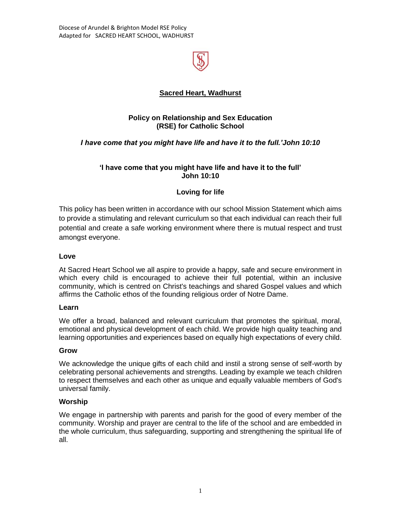Diocese of Arundel & Brighton Model RSE Policy Adapted for SACRED HEART SCHOOL, WADHURST



## **Sacred Heart, Wadhurst**

## **Policy on Relationship and Sex Education (RSE) for Catholic School**

## *I have come that you might have life and have it to the full.'John 10:10*

#### **'I have come that you might have life and have it to the full' John 10:10**

## **Loving for life**

This policy has been written in accordance with our school Mission Statement which aims to provide a stimulating and relevant curriculum so that each individual can reach their full potential and create a safe working environment where there is mutual respect and trust amongst everyone.

#### **Love**

At Sacred Heart School we all aspire to provide a happy, safe and secure environment in which every child is encouraged to achieve their full potential, within an inclusive community, which is centred on Christ's teachings and shared Gospel values and which affirms the Catholic ethos of the founding religious order of Notre Dame.

#### **Learn**

We offer a broad, balanced and relevant curriculum that promotes the spiritual, moral, emotional and physical development of each child. We provide high quality teaching and learning opportunities and experiences based on equally high expectations of every child.

#### **Grow**

We acknowledge the unique gifts of each child and instil a strong sense of self-worth by celebrating personal achievements and strengths. Leading by example we teach children to respect themselves and each other as unique and equally valuable members of God's universal family.

#### **Worship**

We engage in partnership with parents and parish for the good of every member of the community. Worship and prayer are central to the life of the school and are embedded in the whole curriculum, thus safeguarding, supporting and strengthening the spiritual life of all.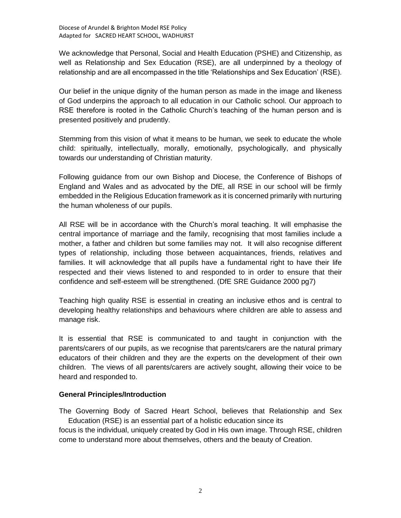We acknowledge that Personal, Social and Health Education (PSHE) and Citizenship, as well as Relationship and Sex Education (RSE), are all underpinned by a theology of relationship and are all encompassed in the title 'Relationships and Sex Education' (RSE).

Our belief in the unique dignity of the human person as made in the image and likeness of God underpins the approach to all education in our Catholic school. Our approach to RSE therefore is rooted in the Catholic Church's teaching of the human person and is presented positively and prudently.

Stemming from this vision of what it means to be human, we seek to educate the whole child: spiritually, intellectually, morally, emotionally, psychologically, and physically towards our understanding of Christian maturity.

Following guidance from our own Bishop and Diocese, the Conference of Bishops of England and Wales and as advocated by the DfE, all RSE in our school will be firmly embedded in the Religious Education framework as it is concerned primarily with nurturing the human wholeness of our pupils.

All RSE will be in accordance with the Church's moral teaching. It will emphasise the central importance of marriage and the family, recognising that most families include a mother, a father and children but some families may not. It will also recognise different types of relationship, including those between acquaintances, friends, relatives and families. It will acknowledge that all pupils have a fundamental right to have their life respected and their views listened to and responded to in order to ensure that their confidence and self-esteem will be strengthened. (DfE SRE Guidance 2000 pg7)

Teaching high quality RSE is essential in creating an inclusive ethos and is central to developing healthy relationships and behaviours where children are able to assess and manage risk.

It is essential that RSE is communicated to and taught in conjunction with the parents/carers of our pupils, as we recognise that parents/carers are the natural primary educators of their children and they are the experts on the development of their own children. The views of all parents/carers are actively sought, allowing their voice to be heard and responded to.

#### **General Principles/Introduction**

The Governing Body of Sacred Heart School, believes that Relationship and Sex Education (RSE) is an essential part of a holistic education since its

focus is the individual, uniquely created by God in His own image. Through RSE, children come to understand more about themselves, others and the beauty of Creation.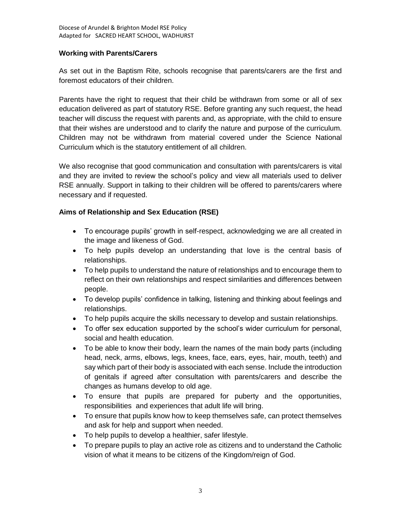#### **Working with Parents/Carers**

As set out in the Baptism Rite, schools recognise that parents/carers are the first and foremost educators of their children.

Parents have the right to request that their child be withdrawn from some or all of sex education delivered as part of statutory RSE. Before granting any such request, the head teacher will discuss the request with parents and, as appropriate, with the child to ensure that their wishes are understood and to clarify the nature and purpose of the curriculum. Children may not be withdrawn from material covered under the Science National Curriculum which is the statutory entitlement of all children.

We also recognise that good communication and consultation with parents/carers is vital and they are invited to review the school's policy and view all materials used to deliver RSE annually. Support in talking to their children will be offered to parents/carers where necessary and if requested.

## **Aims of Relationship and Sex Education (RSE)**

- To encourage pupils' growth in self-respect, acknowledging we are all created in the image and likeness of God.
- To help pupils develop an understanding that love is the central basis of relationships.
- To help pupils to understand the nature of relationships and to encourage them to reflect on their own relationships and respect similarities and differences between people.
- To develop pupils' confidence in talking, listening and thinking about feelings and relationships.
- To help pupils acquire the skills necessary to develop and sustain relationships.
- To offer sex education supported by the school's wider curriculum for personal, social and health education.
- To be able to know their body, learn the names of the main body parts (including head, neck, arms, elbows, legs, knees, face, ears, eyes, hair, mouth, teeth) and say which part of their body is associated with each sense. Include the introduction of genitals if agreed after consultation with parents/carers and describe the changes as humans develop to old age.
- To ensure that pupils are prepared for puberty and the opportunities, responsibilities and experiences that adult life will bring.
- To ensure that pupils know how to keep themselves safe, can protect themselves and ask for help and support when needed.
- To help pupils to develop a healthier, safer lifestyle.
- To prepare pupils to play an active role as citizens and to understand the Catholic vision of what it means to be citizens of the Kingdom/reign of God.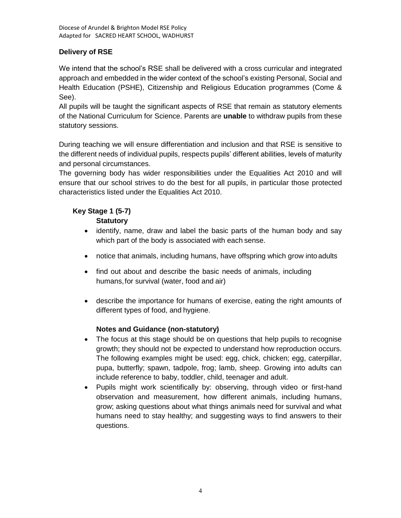# **Delivery of RSE**

We intend that the school's RSE shall be delivered with a cross curricular and integrated approach and embedded in the wider context of the school's existing Personal, Social and Health Education (PSHE), Citizenship and Religious Education programmes (Come & See).

All pupils will be taught the significant aspects of RSE that remain as statutory elements of the National Curriculum for Science. Parents are **unable** to withdraw pupils from these statutory sessions.

During teaching we will ensure differentiation and inclusion and that RSE is sensitive to the different needs of individual pupils, respects pupils' different abilities, levels of maturity and personal circumstances.

The governing body has wider responsibilities under the Equalities Act 2010 and will ensure that our school strives to do the best for all pupils, in particular those protected characteristics listed under the Equalities Act 2010.

# **Key Stage 1 (5-7)**

## **Statutory**

- identify, name, draw and label the basic parts of the human body and say which part of the body is associated with each sense.
- notice that animals, including humans, have offspring which grow into adults
- find out about and describe the basic needs of animals, including humans,for survival (water, food and air)
- describe the importance for humans of exercise, eating the right amounts of different types of food, and hygiene.

## **Notes and Guidance (non-statutory)**

- The focus at this stage should be on questions that help pupils to recognise growth; they should not be expected to understand how reproduction occurs. The following examples might be used: egg, chick, chicken; egg, caterpillar, pupa, butterfly; spawn, tadpole, frog; lamb, sheep. Growing into adults can include reference to baby, toddler, child, teenager and adult.
- Pupils might work scientifically by: observing, through video or first-hand observation and measurement, how different animals, including humans, grow; asking questions about what things animals need for survival and what humans need to stay healthy; and suggesting ways to find answers to their questions.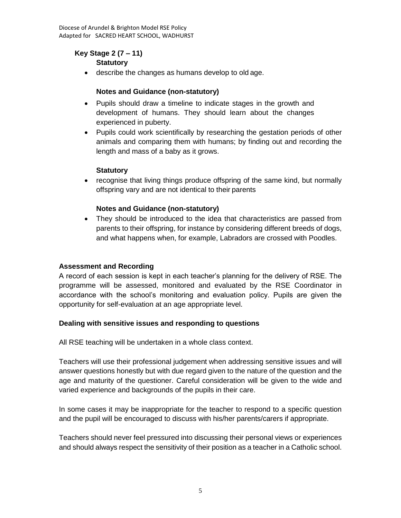## **Key Stage 2 (7 – 11)**

## **Statutory**

describe the changes as humans develop to old age.

## **Notes and Guidance (non-statutory)**

- Pupils should draw a timeline to indicate stages in the growth and development of humans. They should learn about the changes experienced in puberty.
- Pupils could work scientifically by researching the gestation periods of other animals and comparing them with humans; by finding out and recording the length and mass of a baby as it grows.

## **Statutory**

• recognise that living things produce offspring of the same kind, but normally offspring vary and are not identical to their parents

## **Notes and Guidance (non-statutory)**

 They should be introduced to the idea that characteristics are passed from parents to their offspring, for instance by considering different breeds of dogs, and what happens when, for example, Labradors are crossed with Poodles.

#### **Assessment and Recording**

A record of each session is kept in each teacher's planning for the delivery of RSE. The programme will be assessed, monitored and evaluated by the RSE Coordinator in accordance with the school's monitoring and evaluation policy. Pupils are given the opportunity for self-evaluation at an age appropriate level.

#### **Dealing with sensitive issues and responding to questions**

All RSE teaching will be undertaken in a whole class context.

Teachers will use their professional judgement when addressing sensitive issues and will answer questions honestly but with due regard given to the nature of the question and the age and maturity of the questioner. Careful consideration will be given to the wide and varied experience and backgrounds of the pupils in their care.

In some cases it may be inappropriate for the teacher to respond to a specific question and the pupil will be encouraged to discuss with his/her parents/carers if appropriate.

Teachers should never feel pressured into discussing their personal views or experiences and should always respect the sensitivity of their position as a teacher in a Catholic school.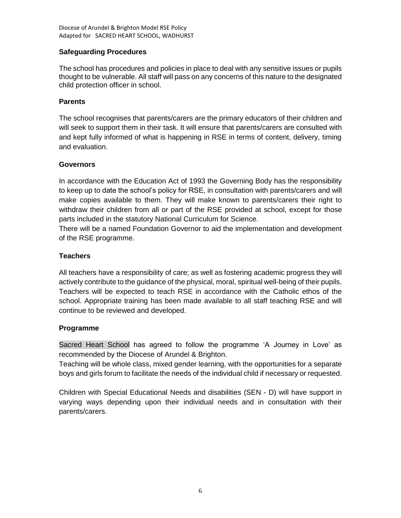## **Safeguarding Procedures**

The school has procedures and policies in place to deal with any sensitive issues or pupils thought to be vulnerable. All staff will pass on any concerns of this nature to the designated child protection officer in school.

#### **Parents**

The school recognises that parents/carers are the primary educators of their children and will seek to support them in their task. It will ensure that parents/carers are consulted with and kept fully informed of what is happening in RSE in terms of content, delivery, timing and evaluation.

#### **Governors**

In accordance with the Education Act of 1993 the Governing Body has the responsibility to keep up to date the school's policy for RSE, in consultation with parents/carers and will make copies available to them. They will make known to parents/carers their right to withdraw their children from all or part of the RSE provided at school, except for those parts included in the statutory National Curriculum for Science.

There will be a named Foundation Governor to aid the implementation and development of the RSE programme.

#### **Teachers**

All teachers have a responsibility of care; as well as fostering academic progress they will actively contribute to the guidance of the physical, moral, spiritual well-being of their pupils. Teachers will be expected to teach RSE in accordance with the Catholic ethos of the school. Appropriate training has been made available to all staff teaching RSE and will continue to be reviewed and developed.

#### **Programme**

Sacred Heart School has agreed to follow the programme 'A Journey in Love' as recommended by the Diocese of Arundel & Brighton.

Teaching will be whole class, mixed gender learning, with the opportunities for a separate boys and girls forum to facilitate the needs of the individual child if necessary or requested.

Children with Special Educational Needs and disabilities (SEN - D) will have support in varying ways depending upon their individual needs and in consultation with their parents/carers.